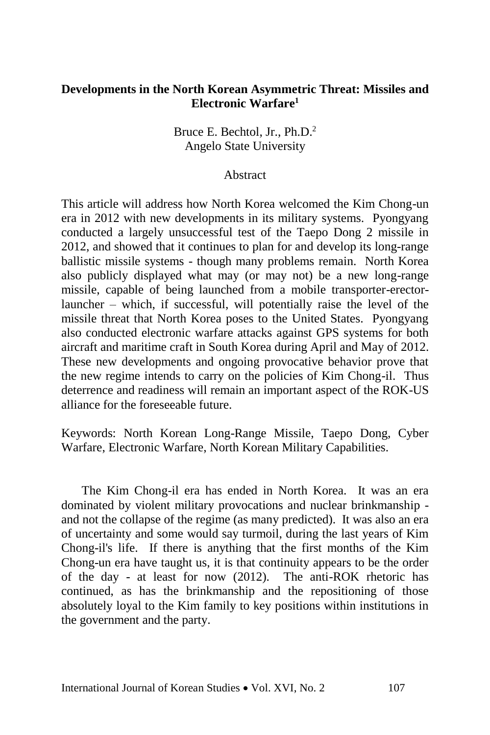## **Developments in the North Korean Asymmetric Threat: Missiles and Electronic Warfare<sup>1</sup>**

Bruce E. Bechtol, Jr., Ph.D.<sup>2</sup> Angelo State University

## Abstract

This article will address how North Korea welcomed the Kim Chong-un era in 2012 with new developments in its military systems. Pyongyang conducted a largely unsuccessful test of the Taepo Dong 2 missile in 2012, and showed that it continues to plan for and develop its long-range ballistic missile systems - though many problems remain. North Korea also publicly displayed what may (or may not) be a new long-range missile, capable of being launched from a mobile transporter-erectorlauncher – which, if successful, will potentially raise the level of the missile threat that North Korea poses to the United States. Pyongyang also conducted electronic warfare attacks against GPS systems for both aircraft and maritime craft in South Korea during April and May of 2012. These new developments and ongoing provocative behavior prove that the new regime intends to carry on the policies of Kim Chong-il. Thus deterrence and readiness will remain an important aspect of the ROK-US alliance for the foreseeable future.

Keywords: North Korean Long-Range Missile, Taepo Dong, Cyber Warfare, Electronic Warfare, North Korean Military Capabilities.

The Kim Chong-il era has ended in North Korea. It was an era dominated by violent military provocations and nuclear brinkmanship and not the collapse of the regime (as many predicted). It was also an era of uncertainty and some would say turmoil, during the last years of Kim Chong-il's life. If there is anything that the first months of the Kim Chong-un era have taught us, it is that continuity appears to be the order of the day - at least for now (2012). The anti-ROK rhetoric has continued, as has the brinkmanship and the repositioning of those absolutely loyal to the Kim family to key positions within institutions in the government and the party.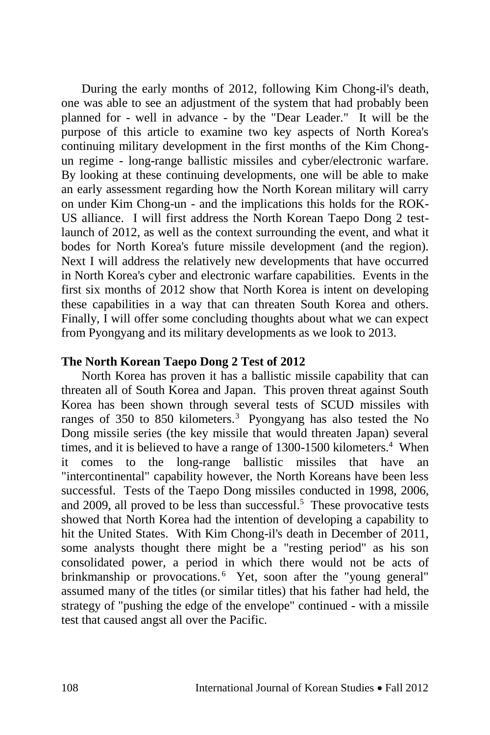During the early months of 2012, following Kim Chong-il's death, one was able to see an adjustment of the system that had probably been planned for - well in advance - by the "Dear Leader." It will be the purpose of this article to examine two key aspects of North Korea's continuing military development in the first months of the Kim Chongun regime - long-range ballistic missiles and cyber/electronic warfare. By looking at these continuing developments, one will be able to make an early assessment regarding how the North Korean military will carry on under Kim Chong-un - and the implications this holds for the ROK-US alliance. I will first address the North Korean Taepo Dong 2 testlaunch of 2012, as well as the context surrounding the event, and what it bodes for North Korea's future missile development (and the region). Next I will address the relatively new developments that have occurred in North Korea's cyber and electronic warfare capabilities. Events in the first six months of 2012 show that North Korea is intent on developing these capabilities in a way that can threaten South Korea and others. Finally, I will offer some concluding thoughts about what we can expect from Pyongyang and its military developments as we look to 2013.

# **The North Korean Taepo Dong 2 Test of 2012**

North Korea has proven it has a ballistic missile capability that can threaten all of South Korea and Japan. This proven threat against South Korea has been shown through several tests of SCUD missiles with ranges of 350 to 850 kilometers.<sup>3</sup> Pyongyang has also tested the No Dong missile series (the key missile that would threaten Japan) several times, and it is believed to have a range of 1300-1500 kilometers.<sup>4</sup> When it comes to the long-range ballistic missiles that have an "intercontinental" capability however, the North Koreans have been less successful. Tests of the Taepo Dong missiles conducted in 1998, 2006, and 2009, all proved to be less than successful.<sup>5</sup> These provocative tests showed that North Korea had the intention of developing a capability to hit the United States. With Kim Chong-il's death in December of 2011, some analysts thought there might be a "resting period" as his son consolidated power, a period in which there would not be acts of brinkmanship or provocations.<sup>6</sup> Yet, soon after the "young general" assumed many of the titles (or similar titles) that his father had held, the strategy of "pushing the edge of the envelope" continued - with a missile test that caused angst all over the Pacific.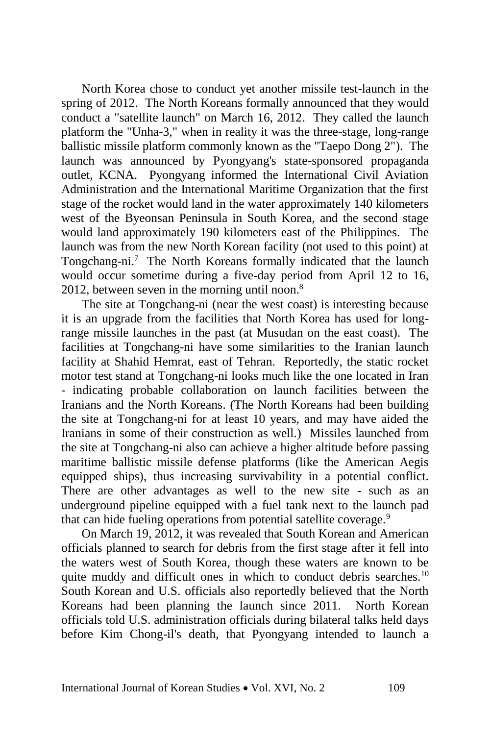North Korea chose to conduct yet another missile test-launch in the spring of 2012. The North Koreans formally announced that they would conduct a "satellite launch" on March 16, 2012. They called the launch platform the "Unha-3," when in reality it was the three-stage, long-range ballistic missile platform commonly known as the "Taepo Dong 2"). The launch was announced by Pyongyang's state-sponsored propaganda outlet, KCNA. Pyongyang informed the International Civil Aviation Administration and the International Maritime Organization that the first stage of the rocket would land in the water approximately 140 kilometers west of the Byeonsan Peninsula in South Korea, and the second stage would land approximately 190 kilometers east of the Philippines. The launch was from the new North Korean facility (not used to this point) at Tongchang-ni.<sup>7</sup> The North Koreans formally indicated that the launch would occur sometime during a five-day period from April 12 to 16, 2012, between seven in the morning until noon. $8$ 

The site at Tongchang-ni (near the west coast) is interesting because it is an upgrade from the facilities that North Korea has used for longrange missile launches in the past (at Musudan on the east coast). The facilities at Tongchang-ni have some similarities to the Iranian launch facility at Shahid Hemrat, east of Tehran. Reportedly, the static rocket motor test stand at Tongchang-ni looks much like the one located in Iran - indicating probable collaboration on launch facilities between the Iranians and the North Koreans. (The North Koreans had been building the site at Tongchang-ni for at least 10 years, and may have aided the Iranians in some of their construction as well.) Missiles launched from the site at Tongchang-ni also can achieve a higher altitude before passing maritime ballistic missile defense platforms (like the American Aegis equipped ships), thus increasing survivability in a potential conflict. There are other advantages as well to the new site - such as an underground pipeline equipped with a fuel tank next to the launch pad that can hide fueling operations from potential satellite coverage.<sup>9</sup>

On March 19, 2012, it was revealed that South Korean and American officials planned to search for debris from the first stage after it fell into the waters west of South Korea, though these waters are known to be quite muddy and difficult ones in which to conduct debris searches.<sup>10</sup> South Korean and U.S. officials also reportedly believed that the North Koreans had been planning the launch since 2011. North Korean officials told U.S. administration officials during bilateral talks held days before Kim Chong-il's death, that Pyongyang intended to launch a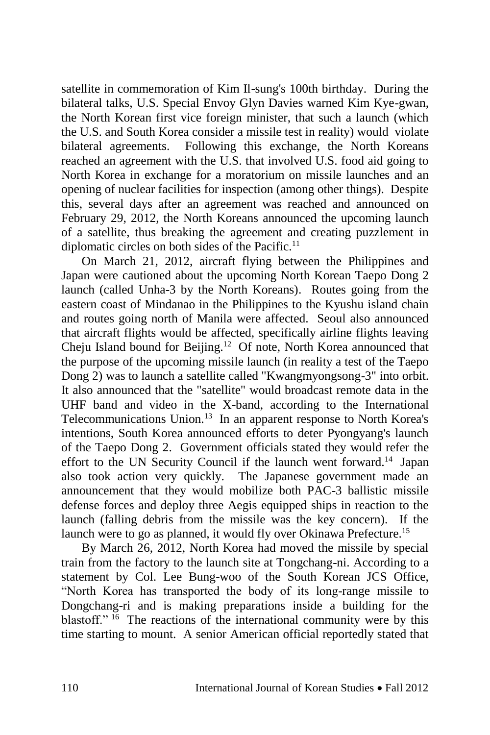satellite in commemoration of Kim Il-sung's 100th birthday. During the bilateral talks, U.S. Special Envoy Glyn Davies warned Kim Kye-gwan, the North Korean first vice foreign minister, that such a launch (which the U.S. and South Korea consider a missile test in reality) would violate bilateral agreements. Following this exchange, the North Koreans reached an agreement with the U.S. that involved U.S. food aid going to North Korea in exchange for a moratorium on missile launches and an opening of nuclear facilities for inspection (among other things). Despite this, several days after an agreement was reached and announced on February 29, 2012, the North Koreans announced the upcoming launch of a satellite, thus breaking the agreement and creating puzzlement in diplomatic circles on both sides of the Pacific.<sup>11</sup>

On March 21, 2012, aircraft flying between the Philippines and Japan were cautioned about the upcoming North Korean Taepo Dong 2 launch (called Unha-3 by the North Koreans). Routes going from the eastern coast of Mindanao in the Philippines to the Kyushu island chain and routes going north of Manila were affected. Seoul also announced that aircraft flights would be affected, specifically airline flights leaving Cheju Island bound for Beijing.<sup>12</sup> Of note, North Korea announced that the purpose of the upcoming missile launch (in reality a test of the Taepo Dong 2) was to launch a satellite called "Kwangmyongsong-3" into orbit. It also announced that the "satellite" would broadcast remote data in the UHF band and video in the X-band, according to the International Telecommunications Union.<sup>13</sup> In an apparent response to North Korea's intentions, South Korea announced efforts to deter Pyongyang's launch of the Taepo Dong 2. Government officials stated they would refer the effort to the UN Security Council if the launch went forward.<sup>14</sup> Japan also took action very quickly. The Japanese government made an announcement that they would mobilize both PAC-3 ballistic missile defense forces and deploy three Aegis equipped ships in reaction to the launch (falling debris from the missile was the key concern). If the launch were to go as planned, it would fly over Okinawa Prefecture.<sup>15</sup>

By March 26, 2012, North Korea had moved the missile by special train from the factory to the launch site at Tongchang-ni. According to a statement by Col. Lee Bung-woo of the South Korean JCS Office, "North Korea has transported the body of its long-range missile to Dongchang-ri and is making preparations inside a building for the blastoff." <sup>16</sup> The reactions of the international community were by this time starting to mount. A senior American official reportedly stated that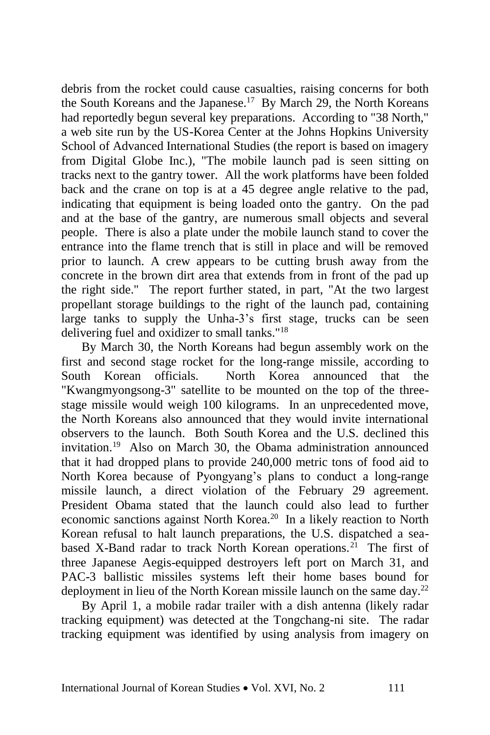debris from the rocket could cause casualties, raising concerns for both the South Koreans and the Japanese.<sup>17</sup> By March 29, the North Koreans had reportedly begun several key preparations. According to "38 North," a web site run by the US-Korea Center at the Johns Hopkins University School of Advanced International Studies (the report is based on imagery from Digital Globe Inc.), "The mobile launch pad is seen sitting on tracks next to the gantry tower. All the work platforms have been folded back and the crane on top is at a 45 degree angle relative to the pad, indicating that equipment is being loaded onto the gantry. On the pad and at the base of the gantry, are numerous small objects and several people. There is also a plate under the mobile launch stand to cover the entrance into the flame trench that is still in place and will be removed prior to launch. A crew appears to be cutting brush away from the concrete in the brown dirt area that extends from in front of the pad up the right side." The report further stated, in part, "At the two largest propellant storage buildings to the right of the launch pad, containing large tanks to supply the Unha-3's first stage, trucks can be seen delivering fuel and oxidizer to small tanks."<sup>18</sup>

By March 30, the North Koreans had begun assembly work on the first and second stage rocket for the long-range missile, according to South Korean officials. North Korea announced that the "Kwangmyongsong-3" satellite to be mounted on the top of the threestage missile would weigh 100 kilograms. In an unprecedented move, the North Koreans also announced that they would invite international observers to the launch. Both South Korea and the U.S. declined this invitation.<sup>19</sup> Also on March 30, the Obama administration announced that it had dropped plans to provide 240,000 metric tons of food aid to North Korea because of Pyongyang's plans to conduct a long-range missile launch, a direct violation of the February 29 agreement. President Obama stated that the launch could also lead to further economic sanctions against North Korea.<sup>20</sup> In a likely reaction to North Korean refusal to halt launch preparations, the U.S. dispatched a seabased X-Band radar to track North Korean operations.<sup>21</sup> The first of three Japanese Aegis-equipped destroyers left port on March 31, and PAC-3 ballistic missiles systems left their home bases bound for deployment in lieu of the North Korean missile launch on the same day.<sup>22</sup>

By April 1, a mobile radar trailer with a dish antenna (likely radar tracking equipment) was detected at the Tongchang-ni site. The radar tracking equipment was identified by using analysis from imagery on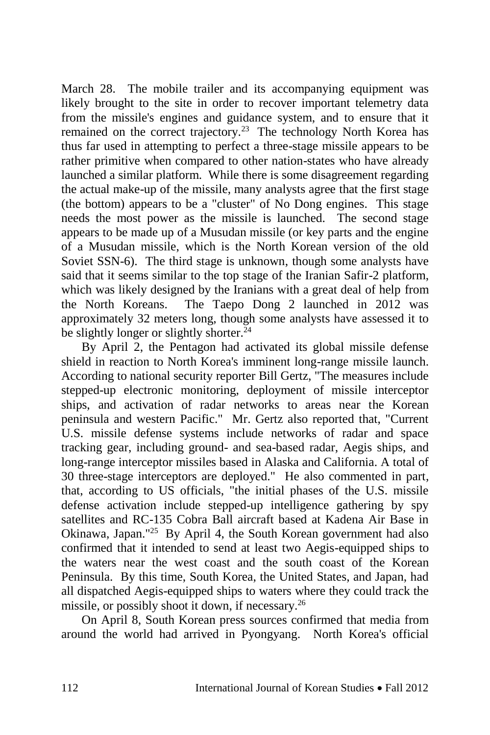March 28. The mobile trailer and its accompanying equipment was likely brought to the site in order to recover important telemetry data from the missile's engines and guidance system, and to ensure that it remained on the correct trajectory.<sup>23</sup> The technology North Korea has thus far used in attempting to perfect a three-stage missile appears to be rather primitive when compared to other nation-states who have already launched a similar platform. While there is some disagreement regarding the actual make-up of the missile, many analysts agree that the first stage (the bottom) appears to be a "cluster" of No Dong engines. This stage needs the most power as the missile is launched. The second stage appears to be made up of a Musudan missile (or key parts and the engine of a Musudan missile, which is the North Korean version of the old Soviet SSN-6). The third stage is unknown, though some analysts have said that it seems similar to the top stage of the Iranian Safir-2 platform, which was likely designed by the Iranians with a great deal of help from the North Koreans. The Taepo Dong 2 launched in 2012 was approximately 32 meters long, though some analysts have assessed it to be slightly longer or slightly shorter.<sup>24</sup>

By April 2, the Pentagon had activated its global missile defense shield in reaction to North Korea's imminent long-range missile launch. According to national security reporter Bill Gertz, "The measures include stepped-up electronic monitoring, deployment of missile interceptor ships, and activation of radar networks to areas near the Korean peninsula and western Pacific." Mr. Gertz also reported that, "Current U.S. missile defense systems include networks of radar and space tracking gear, including ground- and sea-based radar, Aegis ships, and long-range interceptor missiles based in Alaska and California. A total of 30 three-stage interceptors are deployed." He also commented in part, that, according to US officials, "the initial phases of the U.S. missile defense activation include stepped-up intelligence gathering by spy satellites and RC-135 Cobra Ball aircraft based at Kadena Air Base in Okinawa, Japan."<sup>25</sup> By April 4, the South Korean government had also confirmed that it intended to send at least two Aegis-equipped ships to the waters near the west coast and the south coast of the Korean Peninsula. By this time, South Korea, the United States, and Japan, had all dispatched Aegis-equipped ships to waters where they could track the missile, or possibly shoot it down, if necessary.<sup>26</sup>

On April 8, South Korean press sources confirmed that media from around the world had arrived in Pyongyang. North Korea's official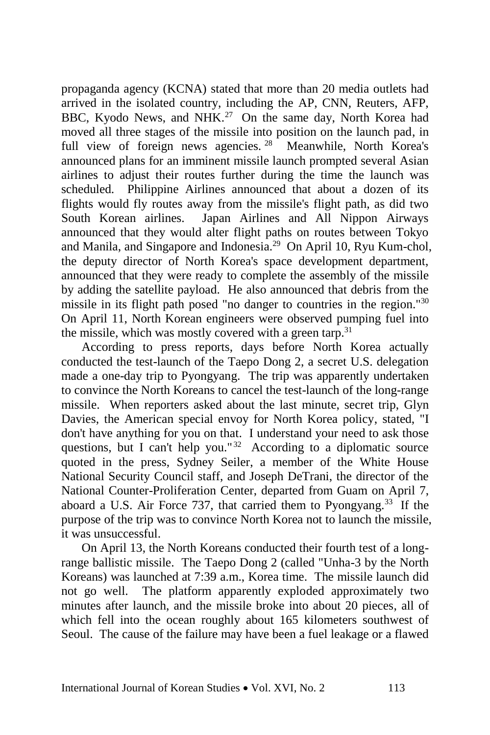propaganda agency (KCNA) stated that more than 20 media outlets had arrived in the isolated country, including the AP, CNN, Reuters, AFP, BBC, Kyodo News, and NHK.<sup>27</sup> On the same day, North Korea had moved all three stages of the missile into position on the launch pad, in full view of foreign news agencies.<sup>28</sup> Meanwhile, North Korea's announced plans for an imminent missile launch prompted several Asian airlines to adjust their routes further during the time the launch was scheduled. Philippine Airlines announced that about a dozen of its flights would fly routes away from the missile's flight path, as did two South Korean airlines. Japan Airlines and All Nippon Airways announced that they would alter flight paths on routes between Tokyo and Manila, and Singapore and Indonesia.<sup>29</sup> On April 10, Ryu Kum-chol, the deputy director of North Korea's space development department, announced that they were ready to complete the assembly of the missile by adding the satellite payload. He also announced that debris from the missile in its flight path posed "no danger to countries in the region."<sup>30</sup> On April 11, North Korean engineers were observed pumping fuel into the missile, which was mostly covered with a green tarp.<sup>31</sup>

According to press reports, days before North Korea actually conducted the test-launch of the Taepo Dong 2, a secret U.S. delegation made a one-day trip to Pyongyang. The trip was apparently undertaken to convince the North Koreans to cancel the test-launch of the long-range missile. When reporters asked about the last minute, secret trip, Glyn Davies, the American special envoy for North Korea policy, stated, "I don't have anything for you on that. I understand your need to ask those questions, but I can't help you."<sup>32</sup> According to a diplomatic source quoted in the press, Sydney Seiler, a member of the White House National Security Council staff, and Joseph DeTrani, the director of the National Counter-Proliferation Center, departed from Guam on April 7, aboard a U.S. Air Force 737, that carried them to Pyongyang.<sup>33</sup> If the purpose of the trip was to convince North Korea not to launch the missile, it was unsuccessful.

On April 13, the North Koreans conducted their fourth test of a longrange ballistic missile. The Taepo Dong 2 (called "Unha-3 by the North Koreans) was launched at 7:39 a.m., Korea time. The missile launch did not go well. The platform apparently exploded approximately two minutes after launch, and the missile broke into about 20 pieces, all of which fell into the ocean roughly about 165 kilometers southwest of Seoul. The cause of the failure may have been a fuel leakage or a flawed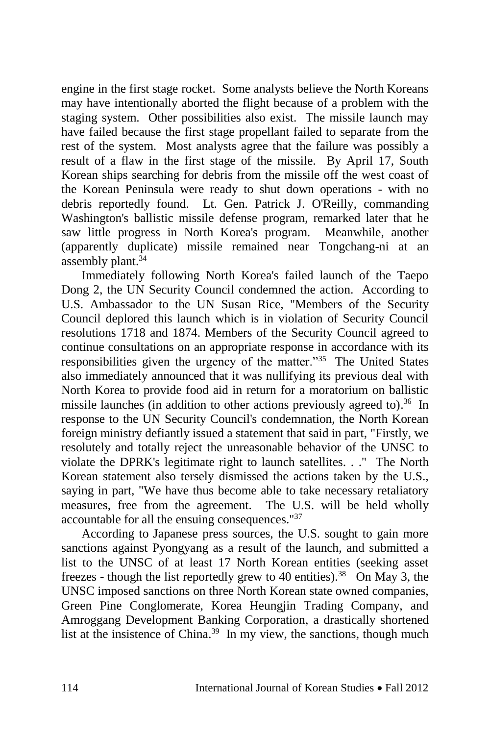engine in the first stage rocket. Some analysts believe the North Koreans may have intentionally aborted the flight because of a problem with the staging system. Other possibilities also exist. The missile launch may have failed because the first stage propellant failed to separate from the rest of the system. Most analysts agree that the failure was possibly a result of a flaw in the first stage of the missile. By April 17, South Korean ships searching for debris from the missile off the west coast of the Korean Peninsula were ready to shut down operations - with no debris reportedly found. Lt. Gen. Patrick J. O'Reilly, commanding Washington's ballistic missile defense program, remarked later that he saw little progress in North Korea's program. Meanwhile, another (apparently duplicate) missile remained near Tongchang-ni at an assembly plant. $34$ 

Immediately following North Korea's failed launch of the Taepo Dong 2, the UN Security Council condemned the action. According to U.S. Ambassador to the UN Susan Rice, "Members of the Security Council deplored this launch which is in violation of Security Council resolutions 1718 and 1874. Members of the Security Council agreed to continue consultations on an appropriate response in accordance with its responsibilities given the urgency of the matter.<sup>35</sup> The United States also immediately announced that it was nullifying its previous deal with North Korea to provide food aid in return for a moratorium on ballistic missile launches (in addition to other actions previously agreed to).<sup>36</sup> In response to the UN Security Council's condemnation, the North Korean foreign ministry defiantly issued a statement that said in part, "Firstly, we resolutely and totally reject the unreasonable behavior of the UNSC to violate the DPRK's legitimate right to launch satellites. . ." The North Korean statement also tersely dismissed the actions taken by the U.S., saying in part, "We have thus become able to take necessary retaliatory measures, free from the agreement. The U.S. will be held wholly accountable for all the ensuing consequences."<sup>37</sup>

According to Japanese press sources, the U.S. sought to gain more sanctions against Pyongyang as a result of the launch, and submitted a list to the UNSC of at least 17 North Korean entities (seeking asset freezes - though the list reportedly grew to 40 entities).<sup>38</sup> On May 3, the UNSC imposed sanctions on three North Korean state owned companies, Green Pine Conglomerate, Korea Heungjin Trading Company, and Amroggang Development Banking Corporation, a drastically shortened list at the insistence of China.<sup>39</sup> In my view, the sanctions, though much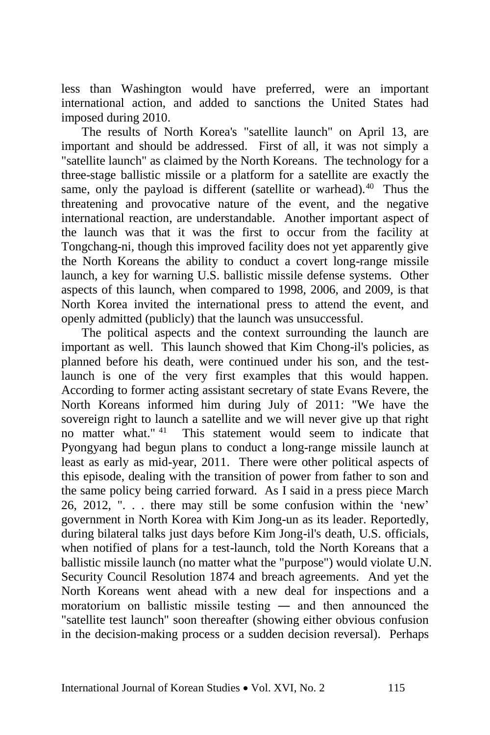less than Washington would have preferred, were an important international action, and added to sanctions the United States had imposed during 2010.

The results of North Korea's "satellite launch" on April 13, are important and should be addressed. First of all, it was not simply a "satellite launch" as claimed by the North Koreans. The technology for a three-stage ballistic missile or a platform for a satellite are exactly the same, only the payload is different (satellite or warhead). $40$  Thus the threatening and provocative nature of the event, and the negative international reaction, are understandable. Another important aspect of the launch was that it was the first to occur from the facility at Tongchang-ni, though this improved facility does not yet apparently give the North Koreans the ability to conduct a covert long-range missile launch, a key for warning U.S. ballistic missile defense systems. Other aspects of this launch, when compared to 1998, 2006, and 2009, is that North Korea invited the international press to attend the event, and openly admitted (publicly) that the launch was unsuccessful.

The political aspects and the context surrounding the launch are important as well. This launch showed that Kim Chong-il's policies, as planned before his death, were continued under his son, and the testlaunch is one of the very first examples that this would happen. According to former acting assistant secretary of state Evans Revere, the North Koreans informed him during July of 2011: "We have the sovereign right to launch a satellite and we will never give up that right no matter what." <sup>41</sup> This statement would seem to indicate that Pyongyang had begun plans to conduct a long-range missile launch at least as early as mid-year, 2011. There were other political aspects of this episode, dealing with the transition of power from father to son and the same policy being carried forward. As I said in a press piece March 26, 2012, ". . . there may still be some confusion within the 'new' government in North Korea with Kim Jong-un as its leader. Reportedly, during bilateral talks just days before Kim Jong-il's death, U.S. officials, when notified of plans for a test-launch, told the North Koreans that a ballistic missile launch (no matter what the "purpose") would violate U.N. Security Council Resolution 1874 and breach agreements. And yet the North Koreans went ahead with a new deal for inspections and a moratorium on ballistic missile testing ― and then announced the "satellite test launch" soon thereafter (showing either obvious confusion in the decision-making process or a sudden decision reversal). Perhaps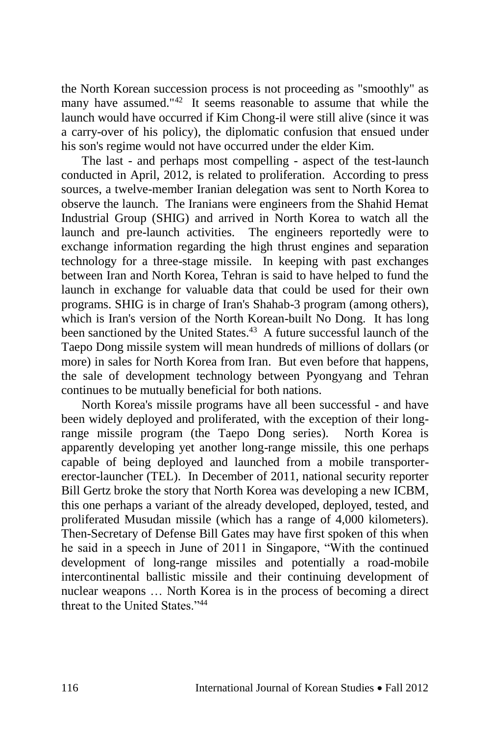the North Korean succession process is not proceeding as "smoothly" as many have assumed."<sup>42</sup> It seems reasonable to assume that while the launch would have occurred if Kim Chong-il were still alive (since it was a carry-over of his policy), the diplomatic confusion that ensued under his son's regime would not have occurred under the elder Kim.

The last - and perhaps most compelling - aspect of the test-launch conducted in April, 2012, is related to proliferation. According to press sources, a twelve-member Iranian delegation was sent to North Korea to observe the launch. The Iranians were engineers from the Shahid Hemat Industrial Group (SHIG) and arrived in North Korea to watch all the launch and pre-launch activities. The engineers reportedly were to exchange information regarding the high thrust engines and separation technology for a three-stage missile. In keeping with past exchanges between Iran and North Korea, Tehran is said to have helped to fund the launch in exchange for valuable data that could be used for their own programs. SHIG is in charge of Iran's Shahab-3 program (among others), which is Iran's version of the North Korean-built No Dong. It has long been sanctioned by the United States.<sup>43</sup> A future successful launch of the Taepo Dong missile system will mean hundreds of millions of dollars (or more) in sales for North Korea from Iran. But even before that happens, the sale of development technology between Pyongyang and Tehran continues to be mutually beneficial for both nations.

North Korea's missile programs have all been successful - and have been widely deployed and proliferated, with the exception of their longrange missile program (the Taepo Dong series). North Korea is apparently developing yet another long-range missile, this one perhaps capable of being deployed and launched from a mobile transportererector-launcher (TEL). In December of 2011, national security reporter Bill Gertz broke the story that North Korea was developing a new ICBM, this one perhaps a variant of the already developed, deployed, tested, and proliferated Musudan missile (which has a range of 4,000 kilometers). Then-Secretary of Defense Bill Gates may have first spoken of this when he said in a speech in June of 2011 in Singapore, "With the continued development of long-range missiles and potentially a road-mobile intercontinental ballistic missile and their continuing development of nuclear weapons … [North Korea](http://www.washingtontimes.com/topics/north-korea/) is in the process of becoming a direct threat to the United States<sup>"44</sup>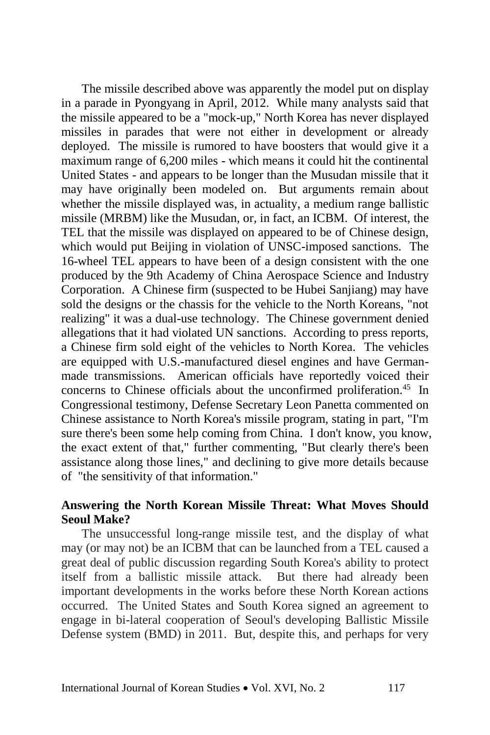The missile described above was apparently the model put on display in a parade in Pyongyang in April, 2012. While many analysts said that the missile appeared to be a "mock-up," North Korea has never displayed missiles in parades that were not either in development or already deployed. The missile is rumored to have boosters that would give it a maximum range of 6,200 miles - which means it could hit the continental United States - and appears to be longer than the Musudan missile that it may have originally been modeled on. But arguments remain about whether the missile displayed was, in actuality, a medium range ballistic missile (MRBM) like the Musudan, or, in fact, an ICBM. Of interest, the TEL that the missile was displayed on appeared to be of Chinese design, which would put Beijing in violation of UNSC-imposed sanctions. The 16-wheel TEL appears to have been of a design consistent with the one produced by the 9th Academy of China Aerospace Science and Industry Corporation. A Chinese firm (suspected to be Hubei Sanjiang) may have sold the designs or the chassis for the vehicle to the North Koreans, "not realizing" it was a dual-use technology. The Chinese government denied allegations that it had violated UN sanctions. According to press reports, a Chinese firm sold eight of the vehicles to North Korea. The vehicles are equipped with U.S.-manufactured diesel engines and have Germanmade transmissions. American officials have reportedly voiced their concerns to Chinese officials about the unconfirmed proliferation.<sup>45</sup> In Congressional testimony, Defense Secretary Leon Panetta commented on Chinese assistance to North Korea's missile program, stating in part, "I'm sure there's been some help coming from China. I don't know, you know, the exact extent of that," further commenting, "But clearly there's been assistance along those lines," and declining to give more details because of "the sensitivity of that information."

# **Answering the North Korean Missile Threat: What Moves Should Seoul Make?**

The unsuccessful long-range missile test, and the display of what may (or may not) be an ICBM that can be launched from a TEL caused a great deal of public discussion regarding South Korea's ability to protect itself from a ballistic missile attack. But there had already been important developments in the works before these North Korean actions occurred. The United States and South Korea signed an agreement to engage in bi-lateral cooperation of Seoul's developing Ballistic Missile Defense system (BMD) in 2011. But, despite this, and perhaps for very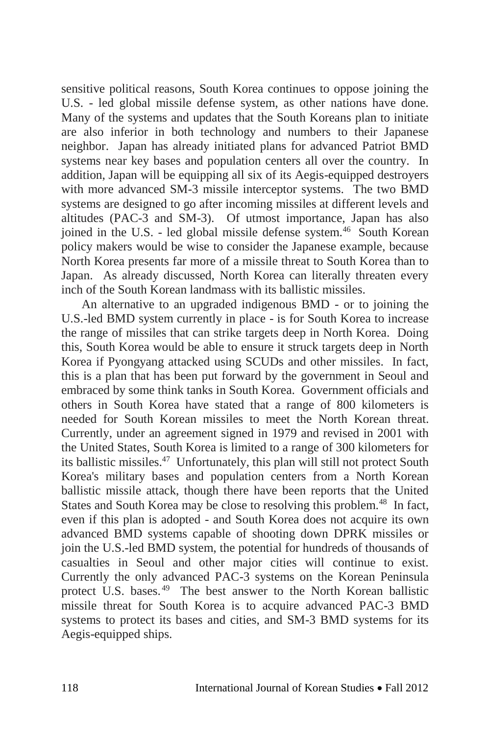sensitive political reasons, South Korea continues to oppose joining the U.S. - led global missile defense system, as other nations have done. Many of the systems and updates that the South Koreans plan to initiate are also inferior in both technology and numbers to their Japanese neighbor. Japan has already initiated plans for advanced Patriot BMD systems near key bases and population centers all over the country. In addition, Japan will be equipping all six of its Aegis-equipped destroyers with more advanced SM-3 missile interceptor systems. The two BMD systems are designed to go after incoming missiles at different levels and altitudes (PAC-3 and SM-3). Of utmost importance, Japan has also joined in the U.S. - led global missile defense system.<sup>46</sup> South Korean policy makers would be wise to consider the Japanese example, because North Korea presents far more of a missile threat to South Korea than to Japan. As already discussed, North Korea can literally threaten every inch of the South Korean landmass with its ballistic missiles.

An alternative to an upgraded indigenous BMD - or to joining the U.S.-led BMD system currently in place - is for South Korea to increase the range of missiles that can strike targets deep in North Korea. Doing this, South Korea would be able to ensure it struck targets deep in North Korea if Pyongyang attacked using SCUDs and other missiles. In fact, this is a plan that has been put forward by the government in Seoul and embraced by some think tanks in South Korea. Government officials and others in South Korea have stated that a range of 800 kilometers is needed for South Korean missiles to meet the North Korean threat. Currently, under an agreement signed in 1979 and revised in 2001 with the United States, South Korea is limited to a range of 300 kilometers for its ballistic missiles.<sup>47</sup> Unfortunately, this plan will still not protect South Korea's military bases and population centers from a North Korean ballistic missile attack, though there have been reports that the United States and South Korea may be close to resolving this problem.<sup>48</sup> In fact, even if this plan is adopted - and South Korea does not acquire its own advanced BMD systems capable of shooting down DPRK missiles or join the U.S.-led BMD system, the potential for hundreds of thousands of casualties in Seoul and other major cities will continue to exist. Currently the only advanced PAC-3 systems on the Korean Peninsula protect U.S. bases.<sup>49</sup> The best answer to the North Korean ballistic missile threat for South Korea is to acquire advanced PAC-3 BMD systems to protect its bases and cities, and SM-3 BMD systems for its Aegis-equipped ships.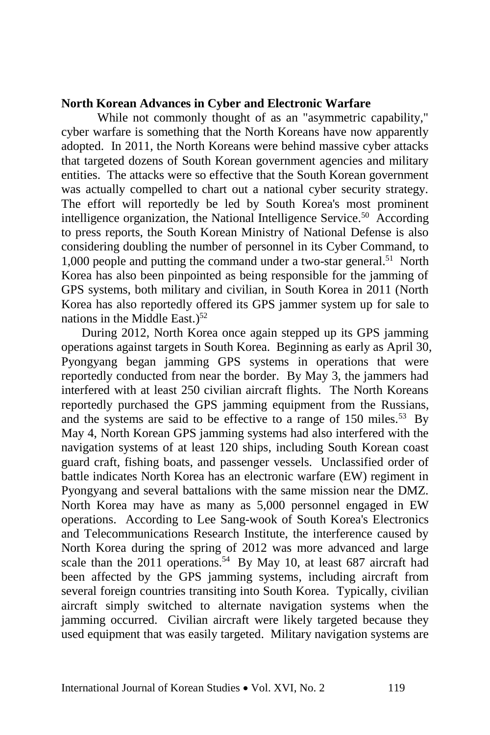#### **North Korean Advances in Cyber and Electronic Warfare**

 While not commonly thought of as an "asymmetric capability," cyber warfare is something that the North Koreans have now apparently adopted. In 2011, the North Koreans were behind massive cyber attacks that targeted dozens of South Korean government agencies and military entities. The attacks were so effective that the South Korean government was actually compelled to chart out a national cyber security strategy. The effort will reportedly be led by South Korea's most prominent intelligence organization, the National Intelligence Service.<sup>50</sup> According to press reports, the South Korean Ministry of National Defense is also considering doubling the number of personnel in its Cyber Command, to 1,000 people and putting the command under a two-star general.<sup>51</sup> North Korea has also been pinpointed as being responsible for the jamming of GPS systems, both military and civilian, in South Korea in 2011 (North Korea has also reportedly offered its GPS jammer system up for sale to nations in the Middle East.)<sup>52</sup>

During 2012, North Korea once again stepped up its GPS jamming operations against targets in South Korea. Beginning as early as April 30, Pyongyang began jamming GPS systems in operations that were reportedly conducted from near the border. By May 3, the jammers had interfered with at least 250 civilian aircraft flights. The North Koreans reportedly purchased the GPS jamming equipment from the Russians, and the systems are said to be effective to a range of  $150$  miles.<sup>53</sup> By May 4, North Korean GPS jamming systems had also interfered with the navigation systems of at least 120 ships, including South Korean coast guard craft, fishing boats, and passenger vessels. Unclassified order of battle indicates North Korea has an electronic warfare (EW) regiment in Pyongyang and several battalions with the same mission near the DMZ. North Korea may have as many as 5,000 personnel engaged in EW operations. According to Lee Sang-wook of South Korea's Electronics and Telecommunications Research Institute, the interference caused by North Korea during the spring of 2012 was more advanced and large scale than the 2011 operations.<sup>54</sup> By May 10, at least 687 aircraft had been affected by the GPS jamming systems, including aircraft from several foreign countries transiting into South Korea. Typically, civilian aircraft simply switched to alternate navigation systems when the jamming occurred. Civilian aircraft were likely targeted because they used equipment that was easily targeted. Military navigation systems are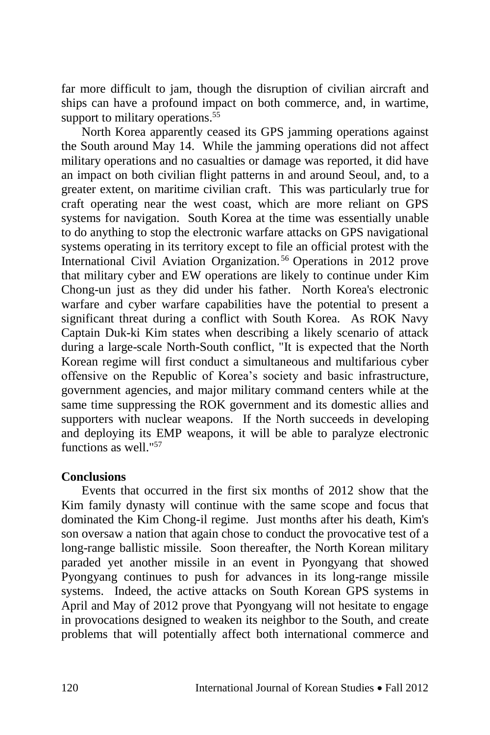far more difficult to jam, though the disruption of civilian aircraft and ships can have a profound impact on both commerce, and, in wartime, support to military operations.<sup>55</sup>

North Korea apparently ceased its GPS jamming operations against the South around May 14. While the jamming operations did not affect military operations and no casualties or damage was reported, it did have an impact on both civilian flight patterns in and around Seoul, and, to a greater extent, on maritime civilian craft. This was particularly true for craft operating near the west coast, which are more reliant on GPS systems for navigation. South Korea at the time was essentially unable to do anything to stop the electronic warfare attacks on GPS navigational systems operating in its territory except to file an official protest with the International Civil Aviation Organization. <sup>56</sup> Operations in 2012 prove that military cyber and EW operations are likely to continue under Kim Chong-un just as they did under his father. North Korea's electronic warfare and cyber warfare capabilities have the potential to present a significant threat during a conflict with South Korea. As ROK Navy Captain Duk-ki Kim states when describing a likely scenario of attack during a large-scale North-South conflict, "It is expected that the North Korean regime will first conduct a simultaneous and multifarious cyber offensive on the Republic of Korea's society and basic infrastructure, government agencies, and major military command centers while at the same time suppressing the ROK government and its domestic allies and supporters with nuclear weapons. If the North succeeds in developing and deploying its EMP weapons, it will be able to paralyze electronic functions as well."<sup>57</sup>

## **Conclusions**

Events that occurred in the first six months of 2012 show that the Kim family dynasty will continue with the same scope and focus that dominated the Kim Chong-il regime. Just months after his death, Kim's son oversaw a nation that again chose to conduct the provocative test of a long-range ballistic missile. Soon thereafter, the North Korean military paraded yet another missile in an event in Pyongyang that showed Pyongyang continues to push for advances in its long-range missile systems. Indeed, the active attacks on South Korean GPS systems in April and May of 2012 prove that Pyongyang will not hesitate to engage in provocations designed to weaken its neighbor to the South, and create problems that will potentially affect both international commerce and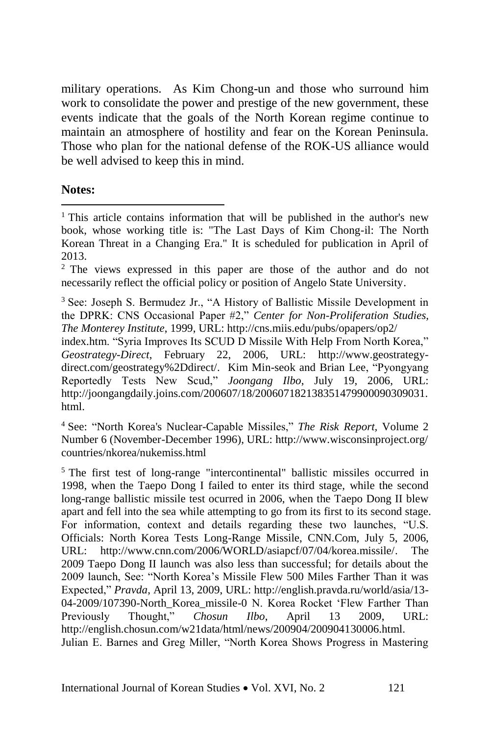military operations. As Kim Chong-un and those who surround him work to consolidate the power and prestige of the new government, these events indicate that the goals of the North Korean regime continue to maintain an atmosphere of hostility and fear on the Korean Peninsula. Those who plan for the national defense of the ROK-US alliance would be well advised to keep this in mind.

**Notes:**

 $\overline{\phantom{a}}$ 

<sup>2</sup> The views expressed in this paper are those of the author and do not necessarily reflect the official policy or position of Angelo State University.

<sup>3</sup> See: Joseph S. Bermudez Jr., "A History of Ballistic Missile Development in the DPRK: CNS Occasional Paper #2," *Center for Non-Proliferation Studies, The Monterey Institute*, 1999, URL: http://cns.miis.edu/pubs/opapers/op2/

index.htm. "Syria Improves Its SCUD D Missile With Help From North Korea," *Geostrategy-Direct*, February 22, 2006, URL: http://www.geostrategydirect.com/geostrategy%2Ddirect/. Kim Min-seok and Brian Lee, "Pyongyang Reportedly Tests New Scud," *Joongang Ilbo*, July 19, 2006, URL: http://joongangdaily.joins.com/200607/18/200607182138351479900090309031. html.

<sup>4</sup> See: "North Korea's Nuclear-Capable Missiles," *The Risk Report,* Volume 2 Number 6 (November-December 1996), URL: http://www.wisconsinproject.org/ countries/nkorea/nukemiss.html

<sup>5</sup> The first test of long-range "intercontinental" ballistic missiles occurred in 1998, when the Taepo Dong I failed to enter its third stage, while the second long-range ballistic missile test ocurred in 2006, when the Taepo Dong II blew apart and fell into the sea while attempting to go from its first to its second stage. For information, context and details regarding these two launches, "U.S. Officials: North Korea Tests Long-Range Missile, CNN.Com, July 5, 2006, URL: http://www.cnn.com/2006/WORLD/asiapcf/07/04/korea.missile/. The 2009 Taepo Dong II launch was also less than successful; for details about the 2009 launch, See: "North Korea's Missile Flew 500 Miles Farther Than it was Expected," *Pravda*, April 13, 2009, URL: http://english.pravda.ru/world/asia/13- 04-2009/107390-North\_Korea\_missile-0 N. Korea Rocket 'Flew Farther Than Previously Thought," *Chosun Ilbo*, April 13 2009, URL: http://english.chosun.com/w21data/html/news/200904/200904130006.html. Julian E. Barnes and Greg Miller, "North Korea Shows Progress in Mastering

<sup>&</sup>lt;sup>1</sup> This article contains information that will be published in the author's new book, whose working title is: "The Last Days of Kim Chong-il: The North Korean Threat in a Changing Era." It is scheduled for publication in April of 2013.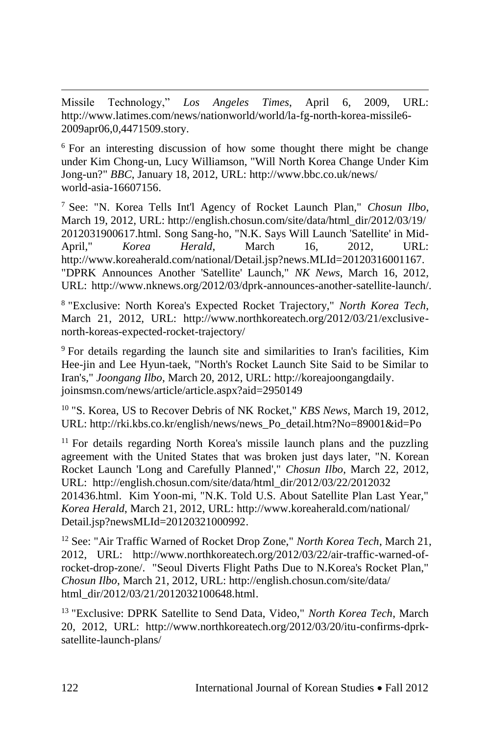Missile Technology," *Los Angeles Times*, April 6, 2009, URL: http://www.latimes.com/news/nationworld/world/la-fg-north-korea-missile6- 2009apr06,0,4471509.story.

<sup>6</sup> For an interesting discussion of how some thought there might be change under Kim Chong-un, Lucy Williamson, "Will North Korea Change Under Kim Jong-un?" *BBC*, January 18, 2012, URL: http://www.bbc.co.uk/news/ world-asia-16607156.

<sup>7</sup> See: "N. Korea Tells Int'l Agency of Rocket Launch Plan," *Chosun Ilbo*, March 19, 2012, URL: http://english.chosun.com/site/data/html\_dir/2012/03/19/ 2012031900617.html. Song Sang-ho, "N.K. Says Will Launch 'Satellite' in Mid-April," *Korea Herald*, March 16, 2012, URL: http://www.koreaherald.com/national/Detail.jsp?news.MLId=20120316001167. "DPRK Announces Another 'Satellite' Launch," *NK News*, March 16, 2012, URL: http://www.nknews.org/2012/03/dprk-announces-another-satellite-launch/.

8 "Exclusive: North Korea's Expected Rocket Trajectory," *North Korea Tech*, March 21, 2012, URL: http://www.northkoreatech.org/2012/03/21/exclusivenorth-koreas-expected-rocket-trajectory/

<sup>9</sup> For details regarding the launch site and similarities to Iran's facilities, Kim Hee-jin and Lee Hyun-taek, "North's Rocket Launch Site Said to be Similar to Iran's," *Joongang Ilbo*, March 20, 2012, URL: http://koreajoongangdaily. joinsmsn.com/news/article/article.aspx?aid=2950149

<sup>10</sup> "S. Korea, US to Recover Debris of NK Rocket," *KBS News*, March 19, 2012, URL: http://rki.kbs.co.kr/english/news/news\_Po\_detail.htm?No=89001&id=Po

<sup>11</sup> For details regarding North Korea's missile launch plans and the puzzling agreement with the United States that was broken just days later, "N. Korean Rocket Launch 'Long and Carefully Planned'," *Chosun Ilbo*, March 22, 2012, URL: http://english.chosun.com/site/data/html\_dir/2012/03/22/2012032 201436.html. Kim Yoon-mi, "N.K. Told U.S. About Satellite Plan Last Year," *Korea Herald*, March 21, 2012, URL: http://www.koreaherald.com/national/ Detail.jsp?newsMLId=20120321000992.

<sup>12</sup> See: "Air Traffic Warned of Rocket Drop Zone," *North Korea Tech*, March 21, 2012, URL: http://www.northkoreatech.org/2012/03/22/air-traffic-warned-ofrocket-drop-zone/. "Seoul Diverts Flight Paths Due to N.Korea's Rocket Plan," *Chosun Ilbo*, March 21, 2012, URL: http://english.chosun.com/site/data/ html\_dir/2012/03/21/2012032100648.html.

<sup>13</sup> "Exclusive: DPRK Satellite to Send Data, Video," *North Korea Tech*, March 20, 2012, URL: http://www.northkoreatech.org/2012/03/20/itu-confirms-dprksatellite-launch-plans/

 $\overline{\phantom{a}}$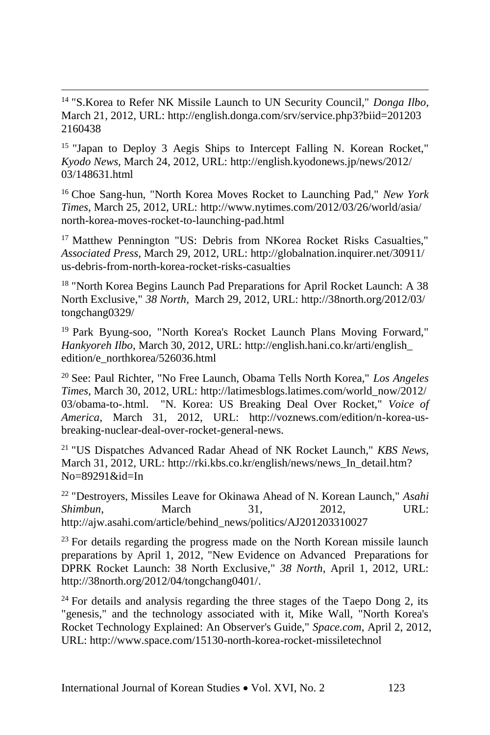<sup>14</sup> "S.Korea to Refer NK Missile Launch to UN Security Council," *Donga Ilbo*, March 21, 2012, URL: http://english.donga.com/srv/service.php3?biid=201203 2160438

 $\overline{\phantom{a}}$ 

<sup>15</sup> "Japan to Deploy 3 Aegis Ships to Intercept Falling N. Korean Rocket," *Kyodo News*, March 24, 2012, URL: http://english.kyodonews.jp/news/2012/ 03/148631.html

<sup>16</sup> Choe Sang-hun, "North Korea Moves Rocket to Launching Pad," *New York Times*, March 25, 2012, URL: http://www.nytimes.com/2012/03/26/world/asia/ north-korea-moves-rocket-to-launching-pad.html

<sup>17</sup> Matthew Pennington "US: Debris from NKorea Rocket Risks Casualties," *Associated Press*, March 29, 2012, URL: http://globalnation.inquirer.net/30911/ us-debris-from-north-korea-rocket-risks-casualties

<sup>18</sup> "North Korea Begins Launch Pad Preparations for April Rocket Launch: A 38 North Exclusive," *38 North*, March 29, 2012, URL: http://38north.org/2012/03/ tongchang0329/

<sup>19</sup> Park Byung-soo, "North Korea's Rocket Launch Plans Moving Forward," *Hankyoreh Ilbo*, March 30, 2012, URL: http://english.hani.co.kr/arti/english\_ edition/e\_northkorea/526036.html

<sup>20</sup> See: Paul Richter, "No Free Launch, Obama Tells North Korea," *Los Angeles Times*, March 30, 2012, URL: http://latimesblogs.latimes.com/world\_now/2012/ 03/obama-to-.html. "N. Korea: US Breaking Deal Over Rocket," *Voice of America*, March 31, 2012, URL: http://voznews.com/edition/n-korea-usbreaking-nuclear-deal-over-rocket-general-news.

<sup>21</sup> "US Dispatches Advanced Radar Ahead of NK Rocket Launch," *KBS News*, March 31, 2012, URL: http://rki.kbs.co.kr/english/news/news\_In\_detail.htm? No=89291&id=In

<sup>22</sup> "Destroyers, Missiles Leave for Okinawa Ahead of N. Korean Launch," *Asahi Shimbun*, **March** 31, 2012, URL: http://ajw.asahi.com/article/behind\_news/politics/AJ201203310027

 $23$  For details regarding the progress made on the North Korean missile launch preparations by April 1, 2012, "New Evidence on Advanced Preparations for DPRK Rocket Launch: 38 North Exclusive," *38 North*, April 1, 2012, URL: http://38north.org/2012/04/tongchang0401/.

 $24$  For details and analysis regarding the three stages of the Taepo Dong 2, its "genesis," and the technology associated with it, Mike Wall, "North Korea's Rocket Technology Explained: An Observer's Guide," *Space.com*, April 2, 2012, URL: http://www.space.com/15130-north-korea-rocket-missiletechnol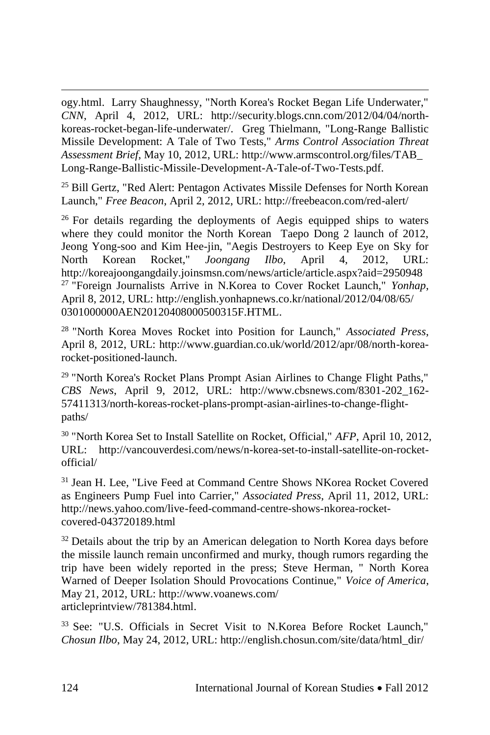ogy.html. Larry Shaughnessy, "North Korea's Rocket Began Life Underwater," *CNN*, April 4, 2012, URL: http://security.blogs.cnn.com/2012/04/04/northkoreas-rocket-began-life-underwater/. Greg Thielmann, "Long-Range Ballistic Missile Development: A Tale of Two Tests," *Arms Control Association Threat Assessment Brief*, May 10, 2012, URL: http://www.armscontrol.org/files/TAB\_ Long-Range-Ballistic-Missile-Development-A-Tale-of-Two-Tests.pdf.

<sup>25</sup> Bill Gertz, "Red Alert: Pentagon Activates Missile Defenses for North Korean Launch," *Free Beacon*, April 2, 2012, URL: http://freebeacon.com/red-alert/

 $26$  For details regarding the deployments of Aegis equipped ships to waters where they could monitor the North Korean Taepo Dong 2 launch of 2012, Jeong Yong-soo and Kim Hee-jin, "Aegis Destroyers to Keep Eye on Sky for North Korean Rocket," *Joongang Ilbo*, April 4, 2012, URL: http://koreajoongangdaily.joinsmsn.com/news/article/article.aspx?aid=2950948 <sup>27</sup> "Foreign Journalists Arrive in N.Korea to Cover Rocket Launch," *Yonhap*, April 8, 2012, URL: http://english.yonhapnews.co.kr/national/2012/04/08/65/ 0301000000AEN20120408000500315F.HTML.

<sup>28</sup> "North Korea Moves Rocket into Position for Launch," *Associated Press*, April 8, 2012, URL: http://www.guardian.co.uk/world/2012/apr/08/north-korearocket-positioned-launch.

<sup>29</sup> "North Korea's Rocket Plans Prompt Asian Airlines to Change Flight Paths," *CBS News*, April 9, 2012, URL: http://www.cbsnews.com/8301-202\_162- 57411313/north-koreas-rocket-plans-prompt-asian-airlines-to-change-flightpaths/

<sup>30</sup> "North Korea Set to Install Satellite on Rocket, Official," *AFP*, April 10, 2012, URL: http://vancouverdesi.com/news/n-korea-set-to-install-satellite-on-rocketofficial/

<sup>31</sup> Jean H. Lee, "Live Feed at Command Centre Shows NKorea Rocket Covered as Engineers Pump Fuel into Carrier," *Associated Press*, April 11, 2012, URL: http://news.yahoo.com/live-feed-command-centre-shows-nkorea-rocketcovered-043720189.html

<sup>32</sup> Details about the trip by an American delegation to North Korea days before the missile launch remain unconfirmed and murky, though rumors regarding the trip have been widely reported in the press; Steve Herman, " North Korea Warned of Deeper Isolation Should Provocations Continue," *Voice of America*, May 21, 2012, URL: http://www.voanews.com/ articleprintview/781384.html.

<sup>33</sup> See: "U.S. Officials in Secret Visit to N.Korea Before Rocket Launch," *Chosun Ilbo*, May 24, 2012, URL: http://english.chosun.com/site/data/html\_dir/

 $\overline{\phantom{a}}$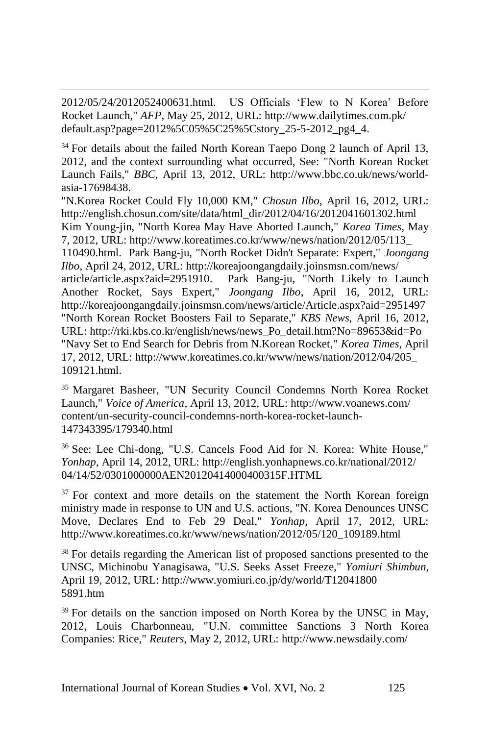2012/05/24/2012052400631.html. US Officials 'Flew to N Korea' Before Rocket Launch," *AFP*, May 25, 2012, URL: http://www.dailytimes.com.pk/ default.asp?page=2012%5C05%5C25%5Cstory\_25-5-2012\_pg4\_4.

 $\overline{\phantom{a}}$ 

<sup>34</sup> For details about the failed North Korean Taepo Dong 2 launch of April 13, 2012, and the context surrounding what occurred, See: "North Korean Rocket Launch Fails," *BBC*, April 13, 2012, URL: http://www.bbc.co.uk/news/worldasia-17698438.

"N.Korea Rocket Could Fly 10,000 KM," *Chosun Ilbo*, April 16, 2012, URL: http://english.chosun.com/site/data/html\_dir/2012/04/16/2012041601302.html Kim Young-jin, "North Korea May Have Aborted Launch," *Korea Times*, May 7, 2012, URL: http://www.koreatimes.co.kr/www/news/nation/2012/05/113\_ 110490.html. Park Bang-ju, "North Rocket Didn't Separate: Expert," *Joongang Ilbo*, April 24, 2012, URL: http://koreajoongangdaily.joinsmsn.com/news/ article/article.aspx?aid=2951910. Park Bang-ju, "North Likely to Launch Another Rocket, Says Expert," *Joongang Ilbo*, April 16, 2012, URL: http://koreajoongangdaily.joinsmsn.com/news/article/Article.aspx?aid=2951497 "North Korean Rocket Boosters Fail to Separate," *KBS News*, April 16, 2012, URL: http://rki.kbs.co.kr/english/news/news\_Po\_detail.htm?No=89653&id=Po "Navy Set to End Search for Debris from N.Korean Rocket," *Korea Times*, April 17, 2012, URL: http://www.koreatimes.co.kr/www/news/nation/2012/04/205\_ 109121.html.

<sup>35</sup> Margaret Basheer, "UN Security Council Condemns North Korea Rocket Launch," *Voice of America*, April 13, 2012, URL: http://www.voanews.com/ content/un-security-council-condemns-north-korea-rocket-launch-147343395/179340.html

<sup>36</sup> See: Lee Chi-dong, "U.S. Cancels Food Aid for N. Korea: White House," *Yonhap*, April 14, 2012, URL: http://english.yonhapnews.co.kr/national/2012/ 04/14/52/0301000000AEN20120414000400315F.HTML

 $37$  For context and more details on the statement the North Korean foreign ministry made in response to UN and U.S. actions, "N. Korea Denounces UNSC Move, Declares End to Feb 29 Deal," *Yonhap*, April 17, 2012, URL: http://www.koreatimes.co.kr/www/news/nation/2012/05/120\_109189.html

<sup>38</sup> For details regarding the American list of proposed sanctions presented to the UNSC, Michinobu Yanagisawa, "U.S. Seeks Asset Freeze," *Yomiuri Shimbun*, April 19, 2012, URL: http://www.yomiuri.co.jp/dy/world/T12041800 5891.htm

 $39$  For details on the sanction imposed on North Korea by the UNSC in May, 2012, Louis Charbonneau, "U.N. committee Sanctions 3 North Korea Companies: Rice," *Reuters*, May 2, 2012, URL: http://www.newsdaily.com/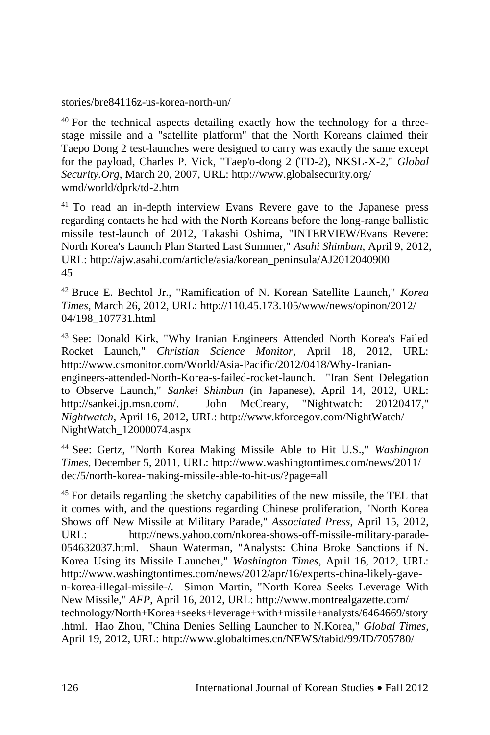stories/bre84116z-us-korea-north-un/

 $\overline{\phantom{a}}$ 

<sup>40</sup> For the technical aspects detailing exactly how the technology for a threestage missile and a "satellite platform" that the North Koreans claimed their Taepo Dong 2 test-launches were designed to carry was exactly the same except for the payload, Charles P. Vick, "Taep'o-dong 2 (TD-2), NKSL-X-2," *Global Security.Org*, March 20, 2007, URL: http://www.globalsecurity.org/ wmd/world/dprk/td-2.htm

<sup>41</sup> To read an in-depth interview Evans Revere gave to the Japanese press regarding contacts he had with the North Koreans before the long-range ballistic missile test-launch of 2012, Takashi Oshima, "INTERVIEW/Evans Revere: North Korea's Launch Plan Started Last Summer," *Asahi Shimbun*, April 9, 2012, URL: http://ajw.asahi.com/article/asia/korean\_peninsula/AJ2012040900 45

<sup>42</sup> Bruce E. Bechtol Jr., "Ramification of N. Korean Satellite Launch," *Korea Times*, March 26, 2012, URL: http://110.45.173.105/www/news/opinon/2012/ 04/198\_107731.html

<sup>43</sup> See: Donald Kirk, "Why Iranian Engineers Attended North Korea's Failed Rocket Launch," *Christian Science Monitor*, April 18, 2012, URL: http://www.csmonitor.com/World/Asia-Pacific/2012/0418/Why-Iranianengineers-attended-North-Korea-s-failed-rocket-launch. "Iran Sent Delegation to Observe Launch," *Sankei Shimbun* (in Japanese), April 14, 2012, URL: http://sankei.jp.msn.com/. John McCreary, "Nightwatch: 20120417," *Nightwatch*, April 16, 2012, URL: http://www.kforcegov.com/NightWatch/ NightWatch\_12000074.aspx

<sup>44</sup> See: Gertz, "North Korea Making Missile Able to Hit U.S.," *Washington Times*, December 5, 2011, URL: http://www.washingtontimes.com/news/2011/ dec/5/north-korea-making-missile-able-to-hit-us/?page=all

<sup>45</sup> For details regarding the sketchy capabilities of the new missile, the TEL that it comes with, and the questions regarding Chinese proliferation, "North Korea Shows off New Missile at Military Parade," *Associated Press*, April 15, 2012, URL: http://news.yahoo.com/nkorea-shows-off-missile-military-parade-054632037.html. Shaun Waterman, "Analysts: China Broke Sanctions if N. Korea Using its Missile Launcher," *Washington Times*, April 16, 2012, URL: http://www.washingtontimes.com/news/2012/apr/16/experts-china-likely-gaven-korea-illegal-missile-/. Simon Martin, "North Korea Seeks Leverage With New Missile," *AFP*, April 16, 2012, URL: http://www.montrealgazette.com/ technology/North+Korea+seeks+leverage+with+missile+analysts/6464669/story .html. Hao Zhou, "China Denies Selling Launcher to N.Korea," *Global Times*, April 19, 2012, URL: http://www.globaltimes.cn/NEWS/tabid/99/ID/705780/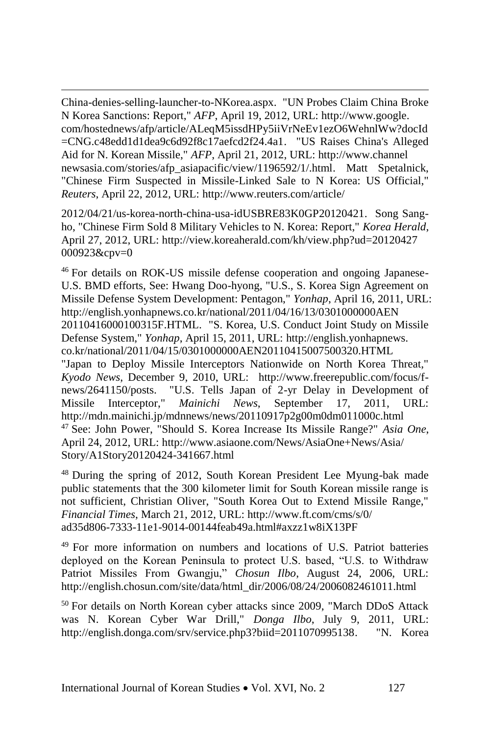China-denies-selling-launcher-to-NKorea.aspx. "UN Probes Claim China Broke N Korea Sanctions: Report," *AFP*, April 19, 2012, URL: http://www.google. com/hostednews/afp/article/ALeqM5issdHPy5iiVrNeEv1ezO6WehnlWw?docId =CNG.c48edd1d1dea9c6d92f8c17aefcd2f24.4a1. "US Raises China's Alleged Aid for N. Korean Missile," *AFP*, April 21, 2012, URL: http://www.channel newsasia.com/stories/afp\_asiapacific/view/1196592/1/.html. Matt Spetalnick, "Chinese Firm Suspected in Missile-Linked Sale to N Korea: US Official," *Reuters*, April 22, 2012, URL: http://www.reuters.com/article/

 $\overline{\phantom{a}}$ 

2012/04/21/us-korea-north-china-usa-idUSBRE83K0GP20120421. Song Sangho, "Chinese Firm Sold 8 Military Vehicles to N. Korea: Report," *Korea Herald*, April 27, 2012, URL: http://view.koreaherald.com/kh/view.php?ud=20120427 000923&cpv=0

<sup>46</sup> For details on ROK-US missile defense cooperation and ongoing Japanese-U.S. BMD efforts, See: Hwang Doo-hyong, "U.S., S. Korea Sign Agreement on Missile Defense System Development: Pentagon," *Yonhap*, April 16, 2011, URL: http://english.yonhapnews.co.kr/national/2011/04/16/13/0301000000AEN 20110416000100315F.HTML. "S. Korea, U.S. Conduct Joint Study on Missile Defense System," *Yonhap*, April 15, 2011, URL: http://english.yonhapnews. co.kr/national/2011/04/15/0301000000AEN20110415007500320.HTML "Japan to Deploy Missile Interceptors Nationwide on North Korea Threat," *Kyodo News*, December 9, 2010, URL: http://www.freerepublic.com/focus/fnews/2641150/posts. "U.S. Tells Japan of 2-yr Delay in Development of Missile Interceptor," *Mainichi News*, September 17, 2011, URL: http://mdn.mainichi.jp/mdnnews/news/20110917p2g00m0dm011000c.html <sup>47</sup> See: John Power, "Should S. Korea Increase Its Missile Range?" *Asia One*, April 24, 2012, URL: http://www.asiaone.com/News/AsiaOne+News/Asia/ Story/A1Story20120424-341667.html

<sup>48</sup> During the spring of 2012, South Korean President Lee Myung-bak made public statements that the 300 kilometer limit for South Korean missile range is not sufficient, Christian Oliver, "South Korea Out to Extend Missile Range," *Financial Times*, March 21, 2012, URL: http://www.ft.com/cms/s/0/ ad35d806-7333-11e1-9014-00144feab49a.html#axzz1w8iX13PF

<sup>49</sup> For more information on numbers and locations of U.S. Patriot batteries deployed on the Korean Peninsula to protect U.S. based, "U.S. to Withdraw Patriot Missiles From Gwangju," *Chosun Ilbo*, August 24, 2006, URL: http://english.chosun.com/site/data/html\_dir/2006/08/24/2006082461011.html

<sup>50</sup> For details on North Korean cyber attacks since 2009, "March DDoS Attack was N. Korean Cyber War Drill," *Donga Ilbo*, July 9, 2011, URL: http://english.donga.com/srv/service.php3?biid=2011070995138. "N. Korea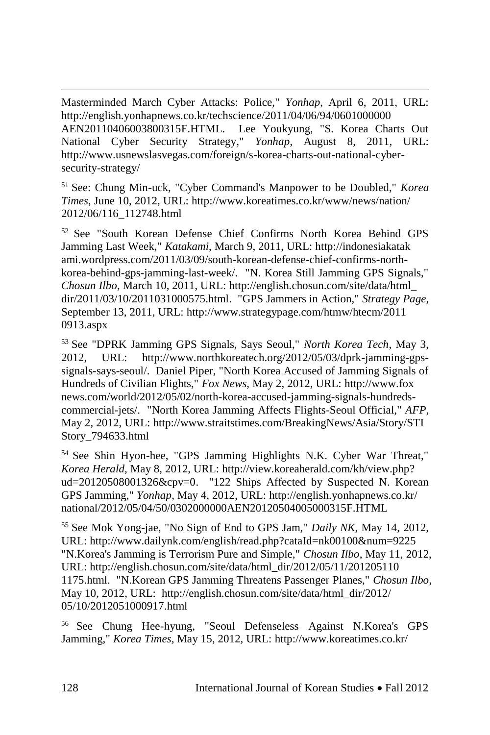Masterminded March Cyber Attacks: Police," *Yonhap*, April 6, 2011, URL: http://english.yonhapnews.co.kr/techscience/2011/04/06/94/0601000000 AEN20110406003800315F.HTML. Lee Youkyung, "S. Korea Charts Out National Cyber Security Strategy," *Yonhap*, August 8, 2011, URL: http://www.usnewslasvegas.com/foreign/s-korea-charts-out-national-cybersecurity-strategy/

<sup>51</sup> See: Chung Min-uck, "Cyber Command's Manpower to be Doubled," *Korea Times*, June 10, 2012, URL: http://www.koreatimes.co.kr/www/news/nation/ 2012/06/116\_112748.html

<sup>52</sup> See "South Korean Defense Chief Confirms North Korea Behind GPS Jamming Last Week," *Katakami*, March 9, 2011, URL: http://indonesiakatak ami.wordpress.com/2011/03/09/south-korean-defense-chief-confirms-northkorea-behind-gps-jamming-last-week/. "N. Korea Still Jamming GPS Signals," *Chosun Ilbo*, March 10, 2011, URL: http://english.chosun.com/site/data/html\_ dir/2011/03/10/2011031000575.html. "GPS Jammers in Action," *Strategy Page*, September 13, 2011, URL: http://www.strategypage.com/htmw/htecm/2011 0913.aspx

<sup>53</sup> See "DPRK Jamming GPS Signals, Says Seoul," *North Korea Tech*, May 3, 2012, URL: http://www.northkoreatech.org/2012/05/03/dprk-jamming-gpssignals-says-seoul/. Daniel Piper, "North Korea Accused of Jamming Signals of Hundreds of Civilian Flights," *Fox News*, May 2, 2012, URL: http://www.fox news.com/world/2012/05/02/north-korea-accused-jamming-signals-hundredscommercial-jets/. "North Korea Jamming Affects Flights-Seoul Official," *AFP*, May 2, 2012, URL: http://www.straitstimes.com/BreakingNews/Asia/Story/STI Story\_794633.html

<sup>54</sup> See Shin Hyon-hee, "GPS Jamming Highlights N.K. Cyber War Threat," *Korea Herald*, May 8, 2012, URL: http://view.koreaherald.com/kh/view.php? ud=20120508001326&cpv=0. "122 Ships Affected by Suspected N. Korean GPS Jamming," *Yonhap*, May 4, 2012, URL: http://english.yonhapnews.co.kr/ national/2012/05/04/50/0302000000AEN20120504005000315F.HTML

<sup>55</sup> See Mok Yong-jae, "No Sign of End to GPS Jam," *Daily NK*, May 14, 2012, URL: http://www.dailynk.com/english/read.php?cataId=nk00100&num=9225 "N.Korea's Jamming is Terrorism Pure and Simple," *Chosun Ilbo*, May 11, 2012, URL: http://english.chosun.com/site/data/html\_dir/2012/05/11/201205110 1175.html. "N.Korean GPS Jamming Threatens Passenger Planes," *Chosun Ilbo*, May 10, 2012, URL: http://english.chosun.com/site/data/html\_dir/2012/ 05/10/2012051000917.html

<sup>56</sup> See Chung Hee-hyung, "Seoul Defenseless Against N.Korea's GPS Jamming," *Korea Times*, May 15, 2012, URL: http://www.koreatimes.co.kr/

 $\overline{\phantom{a}}$